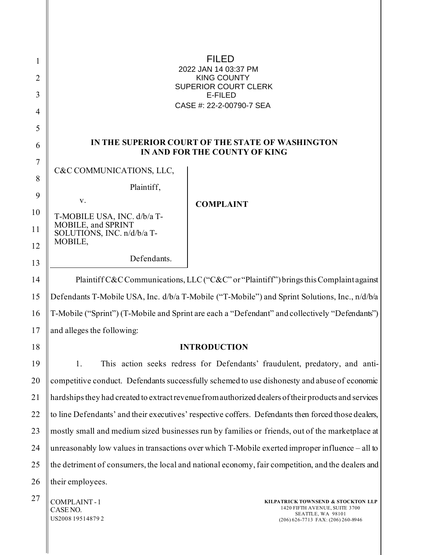| 1  |                                                                                                      |                          |  |  |
|----|------------------------------------------------------------------------------------------------------|--------------------------|--|--|
| 2  | <b>SOPÕÁÔUWÞVŸ</b>                                                                                   | GEGGÁROLÐ ÁFI ÁÐHKHÏ ÁÚT |  |  |
| 3  | ÙWÚÒÜQUÜÁÔUWÜVÁÔŠÒÜS<br><b>OEZSOO</b>                                                                |                          |  |  |
| 4  | ÔŒLIÒÁNAGGEREE JEET AUOCE                                                                            |                          |  |  |
| 5  |                                                                                                      |                          |  |  |
| 6  | IN THE SUPERIOR COURT OF THE STATE OF WASHINGTON<br>IN AND FOR THE COUNTY OF KING                    |                          |  |  |
| 7  | C&C COMMUNICATIONS, LLC,                                                                             |                          |  |  |
| 8  | Plaintiff,                                                                                           |                          |  |  |
| 9  | V.<br><b>COMPLAINT</b>                                                                               |                          |  |  |
| 10 | T-MOBILE USA, INC. d/b/a T-                                                                          |                          |  |  |
| 11 | MOBILE, and SPRINT<br>SOLUTIONS, INC. n/d/b/a T-                                                     |                          |  |  |
| 12 | MOBILE,                                                                                              |                          |  |  |
| 13 | Defendants.                                                                                          |                          |  |  |
| 14 | Plaintiff C&C Communications, LLC ("C&C" or "Plaintiff") brings this Complaint against               |                          |  |  |
| 15 | Defendants T-Mobile USA, Inc. d/b/a T-Mobile ("T-Mobile") and Sprint Solutions, Inc., n/d/b/a        |                          |  |  |
| 16 | T-Mobile ("Sprint") (T-Mobile and Sprint are each a "Defendant" and collectively "Defendants")       |                          |  |  |
| 17 | and alleges the following:                                                                           |                          |  |  |
| 18 | <b>INTRODUCTION</b>                                                                                  |                          |  |  |
| 19 | This action seeks redress for Defendants' fraudulent, predatory, and anti-<br>1.                     |                          |  |  |
| 20 | competitive conduct. Defendants successfully schemed to use dishonesty and abuse of economic         |                          |  |  |
| 21 | hardships they had created to extract revenue from authorized dealers of their products and services |                          |  |  |
| 22 | to line Defendants' and their executives' respective coffers. Defendants then forced those dealers,  |                          |  |  |
| 23 | mostly small and medium sized businesses run by families or friends, out of the marketplace at       |                          |  |  |
| 24 | unreasonably low values in transactions over which T-Mobile exerted improper influence – all to      |                          |  |  |

25 26 the detriment of consumers, the local and national economy, fair competition, and the dealers and their employees.

 $27$  COMPLAINT-1 CASE NO. US2008 19514879 2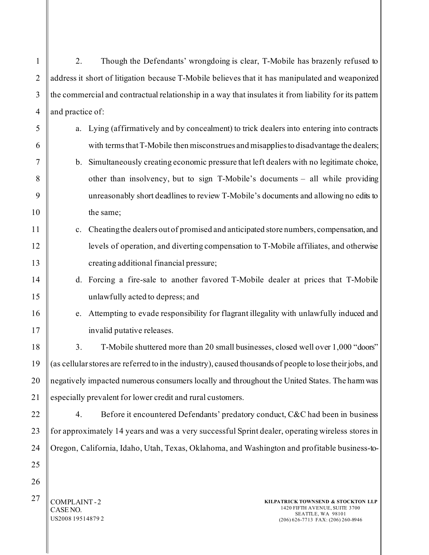1 2 3 4 5 6 7 8 9 10 11 12 13 14 15 16 17 18 19 20 21 22 23 24 25 26  $27$  COMPLAINT-2 CASE NO. US2008 19514879 2 **KILPATRICK TOWNSEND & STOCKTON LLP** 1420 FIFTH AVENUE, SUITE 3700 SEATTLE, WA 98101 (206) 626-7713 FAX: (206) 260-8946 2. Though the Defendants' wrongdoing is clear, T-Mobile has brazenly refused to address it short of litigation because T-Mobile believes that it has manipulated and weaponized the commercial and contractual relationship in a way that insulates it from liability for its pattern and practice of: a. Lying (affirmatively and by concealment) to trick dealers into entering into contracts with terms that T-Mobile then misconstrues and misapplies to disadvantage the dealers; b. Simultaneously creating economic pressure that left dealers with no legitimate choice, other than insolvency, but to sign T-Mobile's documents – all while providing unreasonably short deadlines to review T-Mobile's documents and allowing no edits to the same; c. Cheating the dealers out of promised and anticipated store numbers, compensation, and levels of operation, and diverting compensation to T-Mobile affiliates, and otherwise creating additional financial pressure; d. Forcing a fire-sale to another favored T-Mobile dealer at prices that T-Mobile unlawfully acted to depress; and e. Attempting to evade responsibility for flagrant illegality with unlawfully induced and invalid putative releases. 3. T-Mobile shuttered more than 20 small businesses, closed well over 1,000 "doors" (as cellular stores are referred to in the industry), caused thousands of people to lose their jobs, and negatively impacted numerous consumers locally and throughout the United States. The harm was especially prevalent for lower credit and rural customers. 4. Before it encountered Defendants' predatory conduct, C&C had been in business for approximately 14 years and was a very successful Sprint dealer, operating wireless stores in Oregon, California, Idaho, Utah, Texas, Oklahoma, and Washington and profitable business-to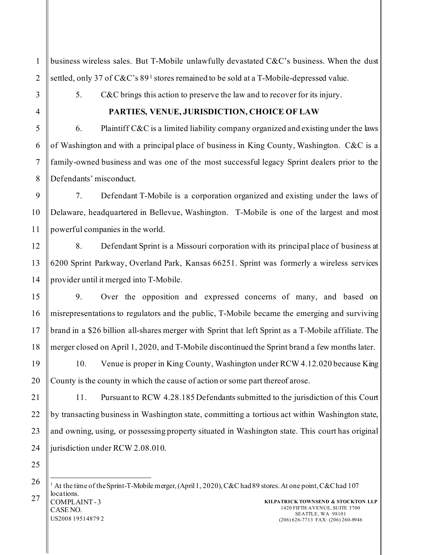business wireless sales. But T-Mobile unlawfully devastated C&C's business. When the dust settled, only 37 of C&C's 89<sup>[1](#page-2-0)</sup> stores remained to be sold at a T-Mobile-depressed value.

5. C&C brings this action to preserve the law and to recover for its injury.

1

2

3

### **PARTIES, VENUE, JURISDICTION, CHOICE OF LAW**

6. Plaintiff  $C&C$  is a limited liability company organized and existing under the laws of Washington and with a principal place of business in King County, Washington. C&C is a family-owned business and was one of the most successful legacy Sprint dealers prior to the Defendants' misconduct.

7. Defendant T-Mobile is a corporation organized and existing under the laws of Delaware, headquartered in Bellevue, Washington. T-Mobile is one of the largest and most powerful companies in the world.

8. Defendant Sprint is a Missouri corporation with its principal place of business at 6200 Sprint Parkway, Overland Park, Kansas 66251. Sprint was formerly a wireless services provider until it merged into T-Mobile.

9. Over the opposition and expressed concerns of many, and based on misrepresentations to regulators and the public, T-Mobile became the emerging and surviving brand in a \$26 billion all-shares merger with Sprint that left Sprint as a T-Mobile affiliate. The merger closed on April 1, 2020, and T-Mobile discontinued the Sprint brand a few months later.

10. Venue is proper in King County, Washington under RCW 4.12.020 because King County is the county in which the cause of action or some part thereof arose.

11. Pursuant to RCW 4.28.185 Defendants submitted to the jurisdiction of this Court by transacting business in Washington state, committing a tortious act within Washington state, and owning, using, or possessing property situated in Washington state. This court has original jurisdiction under RCW 2.08.010.

<span id="page-2-0"></span> $27 \parallel \text{COMPLAINT - 3}$ CASE NO. US2008 19514879 2 **KILPATRICK TOWNSEND & STOCKTON LLP** 1420 FIFTH AVENUE, SUITE 3700 SEATTLE, WA 98101 (206) 626-7713 FAX: (206) 260-8946 <sup>1</sup> At the time of the Sprint-T-Mobile merger, (April 1, 2020), C&C had 89 stores. At one point, C&C had 107 locations.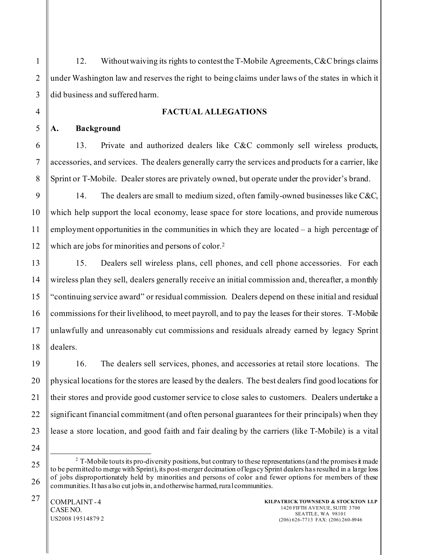12. Without waiving its rights to contest the T-Mobile Agreements, C&C brings claims under Washington law and reserves the right to being claims under laws of the states in which it did business and suffered harm.

### **FACTUAL ALLEGATIONS**

### **A. Background**

13. Private and authorized dealers like C&C commonly sell wireless products, accessories, and services. The dealers generally carry the services and products for a carrier, like Sprint or T-Mobile. Dealer stores are privately owned, but operate under the provider's brand.

14. The dealers are small to medium sized, often family-owned businesses like C&C, which help support the local economy, lease space for store locations, and provide numerous employment opportunities in the communities in which they are located – a high percentage of which are jobs for minorities and persons of color.<sup>[2](#page-3-0)</sup>

15. Dealers sell wireless plans, cell phones, and cell phone accessories. For each wireless plan they sell, dealers generally receive an initial commission and, thereafter, a monthly "continuing service award" or residual commission. Dealers depend on these initial and residual commissions for their livelihood, to meet payroll, and to pay the leases for their stores. T-Mobile unlawfully and unreasonably cut commissions and residuals already earned by legacy Sprint dealers.

16. The dealers sell services, phones, and accessories at retail store locations. The physical locations for the stores are leased by the dealers. The best dealers find good locations for their stores and provide good customer service to close sales to customers. Dealers undertake a significant financial commitment (and often personal guarantees for their principals) when they lease a store location, and good faith and fair dealing by the carriers (like T-Mobile) is a vital

<span id="page-3-0"></span><sup>2</sup> T-Mobile touts its pro-diversity positions, but contrary to these representations (and the promises it made to be permitted to merge with Sprint), its post-merger decimation of legacy Sprint dealers has resulted in a large loss of jobs disproportionately held by minorities and persons of color and fewer options for members of these communities.It has also cut jobs in, and otherwise harmed, rural communities.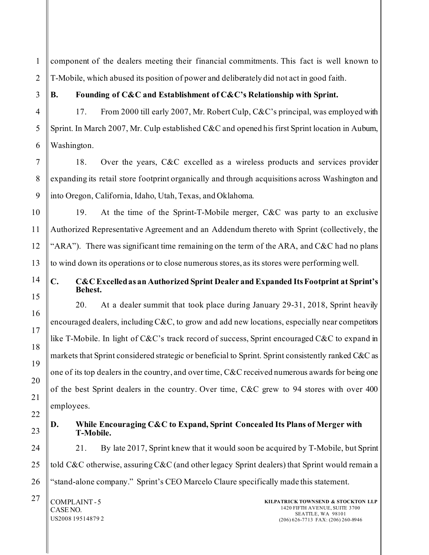1 2 component of the dealers meeting their financial commitments. This fact is well known to T-Mobile, which abused its position of power and deliberately did not act in good faith.

3

4

### **B. Founding of C&C and Establishment of C&C's Relationship with Sprint.**

17. From 2000 till early 2007, Mr. Robert Culp, C&C's principal, was employed with Sprint. In March 2007, Mr. Culp established C&C and opened his first Sprint location in Auburn, Washington.

18. Over the years, C&C excelled as a wireless products and services provider expanding its retail store footprint organically and through acquisitions across Washington and into Oregon, California, Idaho, Utah, Texas, and Oklahoma.

19. At the time of the Sprint-T-Mobile merger, C&C was party to an exclusive Authorized Representative Agreement and an Addendum thereto with Sprint (collectively, the "ARA"). There was significant time remaining on the term of the ARA, and C&C had no plans to wind down its operations or to close numerous stores, as its stores were performing well.

### **C. C&C Excelled as an Authorized Sprint Dealer and Expanded Its Footprint at Sprint's Behest.**

20. At a dealer summit that took place during January 29-31, 2018, Sprint heavily encouraged dealers, including C&C, to grow and add new locations, especially near competitors like T-Mobile. In light of C&C's track record of success, Sprint encouraged C&C to expand in markets that Sprint considered strategic or beneficial to Sprint. Sprint consistently ranked C&C as one of its top dealers in the country, and over time, C&C received numerous awards for being one of the best Sprint dealers in the country. Over time, C&C grew to 94 stores with over 400 employees.

**T-Mobile.** 

# **D. While Encouraging C&C to Expand, Sprint Concealed Its Plans of Merger with**

21. By late 2017, Sprint knew that it would soon be acquired by T-Mobile, but Sprint told C&C otherwise, assuring C&C (and other legacy Sprint dealers) that Sprint would remain a "stand-alone company." Sprint's CEO Marcelo Claure specifically made this statement.

 $27$  COMPLAINT-5 CASE NO. US2008 19514879 2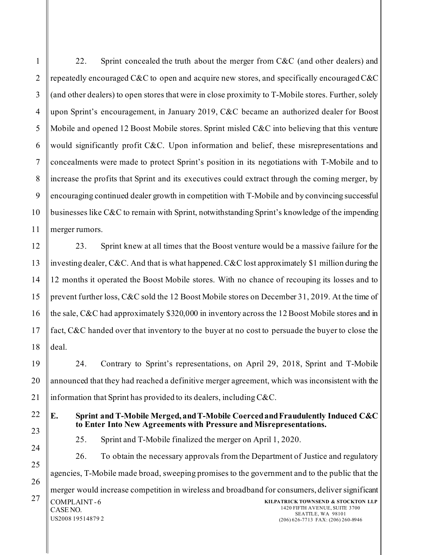22. Sprint concealed the truth about the merger from C&C (and other dealers) and repeatedly encouraged C&C to open and acquire new stores, and specifically encouraged C&C (and other dealers) to open stores that were in close proximity to T-Mobile stores. Further, solely upon Sprint's encouragement, in January 2019, C&C became an authorized dealer for Boost Mobile and opened 12 Boost Mobile stores. Sprint misled  $C\&C$  into believing that this venture would significantly profit C&C. Upon information and belief, these misrepresentations and concealments were made to protect Sprint's position in its negotiations with T-Mobile and to increase the profits that Sprint and its executives could extract through the coming merger, by encouraging continued dealer growth in competition with T-Mobile and by convincing successful businesses like C&C to remain with Sprint, notwithstanding Sprint's knowledge of the impending merger rumors.

23. Sprint knew at all times that the Boost venture would be a massive failure for the investing dealer, C&C. And that is what happened. C&C lost approximately \$1 million during the 12 months it operated the Boost Mobile stores. With no chance of recouping its losses and to prevent further loss, C&C sold the 12 Boost Mobile stores on December 31, 2019. At the time of the sale, C&C had approximately \$320,000 in inventory across the 12 Boost Mobile stores and in fact, C&C handed over that inventory to the buyer at no cost to persuade the buyer to close the deal.

24. Contrary to Sprint's representations, on April 29, 2018, Sprint and T-Mobile announced that they had reached a definitive merger agreement, which was inconsistent with the information that Sprint has provided to its dealers, including C&C.

**E. Sprint and T-Mobile Merged, and T-Mobile Coerced and Fraudulently Induced C&C to Enter Into New Agreements with Pressure and Misrepresentations.** 

25. Sprint and T-Mobile finalized the merger on April 1, 2020.

 $27$  COMPLAINT-6 CASE NO. US2008 19514879 2 **KILPATRICK TOWNSEND & STOCKTON LLP** 1420 FIFTH AVENUE, SUITE 3700 SEATTLE, WA 98101 (206) 626-7713 FAX: (206) 260-8946 26. To obtain the necessary approvals from the Department of Justice and regulatory agencies, T-Mobile made broad, sweeping promises to the government and to the public that the merger would increase competition in wireless and broadband for consumers, deliver significant

1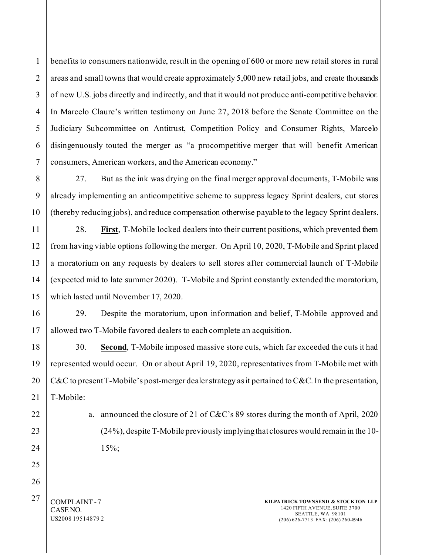1 2 3 4 5 benefits to consumers nationwide, result in the opening of 600 or more new retail stores in rural areas and small towns that would create approximately 5,000 new retail jobs, and create thousands of new U.S. jobs directly and indirectly, and that it would not produce anti-competitive behavior. In Marcelo Claure's written testimony on June 27, 2018 before the Senate Committee on the Judiciary Subcommittee on Antitrust, Competition Policy and Consumer Rights, Marcelo disingenuously touted the merger as "a procompetitive merger that will benefit American consumers, American workers, and the American economy."

27. But as the ink was drying on the final merger approval documents, T-Mobile was already implementing an anticompetitive scheme to suppress legacy Sprint dealers, cut stores (thereby reducing jobs), and reduce compensation otherwise payable to the legacy Sprint dealers.

28. **First**, T-Mobile locked dealers into their current positions, which prevented them from having viable options following the merger. On April 10, 2020, T-Mobile and Sprint placed a moratorium on any requests by dealers to sell stores after commercial launch of T-Mobile (expected mid to late summer 2020). T-Mobile and Sprint constantly extended the moratorium, which lasted until November 17, 2020.

29. Despite the moratorium, upon information and belief, T-Mobile approved and allowed two T-Mobile favored dealers to each complete an acquisition.

30. **Second**, T-Mobile imposed massive store cuts, which far exceeded the cuts it had represented would occur. On or about April 19, 2020, representatives from T-Mobile met with C&C to present T-Mobile's post-merger dealer strategy as it pertained to C&C. In the presentation, T-Mobile:

> a. announced the closure of 21 of C&C's 89 stores during the month of April, 2020 (24%), despite T-Mobile previously implying that closures would remain in the 10- 15%;

 $27$  COMPLAINT-7 CASE NO. US2008 19514879 2

**KILPATRICK TOWNSEND & STOCKTON LLP** 1420 FIFTH AVENUE, SUITE 3700 SEATTLE, WA 98101 (206) 626-7713 FAX: (206) 260-8946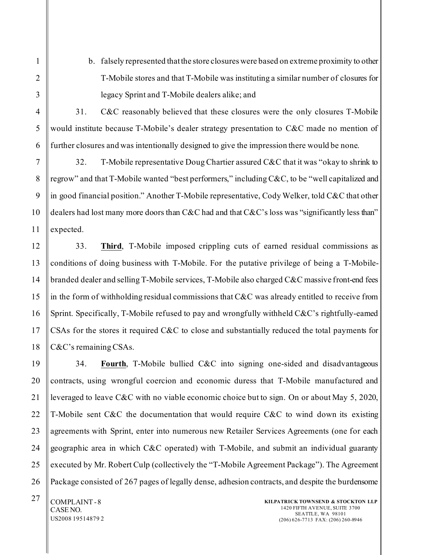b. falsely represented that the store closures were based on extreme proximity to other T-Mobile stores and that T-Mobile was instituting a similar number of closures for legacy Sprint and T-Mobile dealers alike; and

31. C&C reasonably believed that these closures were the only closures T-Mobile would institute because T-Mobile's dealer strategy presentation to C&C made no mention of further closures and was intentionally designed to give the impression there would be none.

32. T-Mobile representative Doug Chartier assured C&C that it was "okay to shrink to regrow" and that T-Mobile wanted "best performers," including C&C, to be "well capitalized and in good financial position." Another T-Mobile representative, Cody Welker, told C&C that other dealers had lost many more doors than C&C had and that C&C's loss was "significantly less than" expected.

33. **Third**, T-Mobile imposed crippling cuts of earned residual commissions as conditions of doing business with T-Mobile. For the putative privilege of being a T-Mobilebranded dealer and selling T-Mobile services, T-Mobile also charged C&C massive front-end fees in the form of withholding residual commissions that C&C was already entitled to receive from Sprint. Specifically, T-Mobile refused to pay and wrongfully withheld C&C's rightfully-earned CSAs for the stores it required C&C to close and substantially reduced the total payments for C&C's remaining CSAs.

34. **Fourth**, T-Mobile bullied C&C into signing one-sided and disadvantageous contracts, using wrongful coercion and economic duress that T-Mobile manufactured and leveraged to leave C&C with no viable economic choice but to sign. On or about May 5, 2020, T-Mobile sent C&C the documentation that would require C&C to wind down its existing agreements with Sprint, enter into numerous new Retailer Services Agreements (one for each geographic area in which C&C operated) with T-Mobile, and submit an individual guaranty executed by Mr. Robert Culp (collectively the "T-Mobile Agreement Package"). The Agreement Package consisted of 267 pages of legally dense, adhesion contracts, and despite the burdensome

 $27$  COMPLAINT-8 CASE NO. US2008 19514879 2

1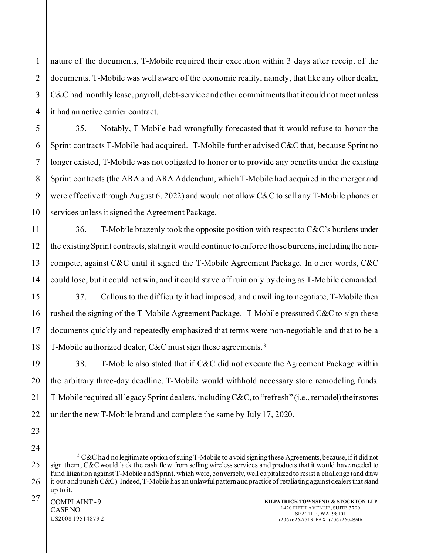1 2 nature of the documents, T-Mobile required their execution within 3 days after receipt of the documents. T-Mobile was well aware of the economic reality, namely, that like any other dealer, C&C had monthly lease, payroll, debt-service and other commitments that it could not meet unless it had an active carrier contract.

35. Notably, T-Mobile had wrongfully forecasted that it would refuse to honor the Sprint contracts T-Mobile had acquired. T-Mobile further advised C&C that, because Sprint no longer existed, T-Mobile was not obligated to honor or to provide any benefits under the existing Sprint contracts (the ARA and ARA Addendum, which T-Mobile had acquired in the merger and were effective through August 6, 2022) and would not allow C&C to sell any T-Mobile phones or services unless it signed the Agreement Package.

36. T-Mobile brazenly took the opposite position with respect to  $C\&C$ 's burdens under the existing Sprint contracts, stating it would continue to enforce those burdens, including the noncompete, against C&C until it signed the T-Mobile Agreement Package. In other words, C&C could lose, but it could not win, and it could stave off ruin only by doing as T-Mobile demanded.

37. Callous to the difficulty it had imposed, and unwilling to negotiate, T-Mobile then rushed the signing of the T-Mobile Agreement Package. T-Mobile pressured C&C to sign these documents quickly and repeatedly emphasized that terms were non-negotiable and that to be a T-Mobile authorized dealer, C&C must sign these agreements.<sup>[3](#page-8-0)</sup>

38. T-Mobile also stated that if C&C did not execute the Agreement Package within the arbitrary three-day deadline, T-Mobile would withhold necessary store remodeling funds. T-Mobile required all legacy Sprint dealers, including  $C&C$ , to "refresh" (i.e., remodel) their stores under the new T-Mobile brand and complete the same by July 17, 2020.

<span id="page-8-0"></span><sup>&</sup>lt;sup>3</sup> C&C had no legitimate option of suing T-Mobile to a void signing these Agreements, because, if it did not sign them, C&C would lack the cash flow from selling wireless services and products that it would have needed to fund litigation against T-Mobile and Sprint, which were, conversely, well capitalized to resist a challenge (and draw it out and punish C&C). Indeed, T-Mobile has an unlawful pattern and practice of retaliating against dealers that stand up to it.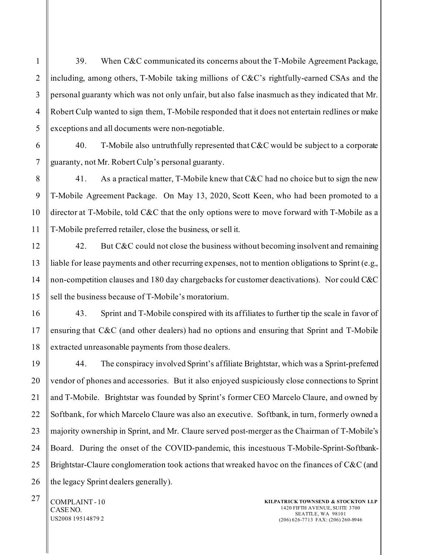39. When C&C communicated its concerns about the T-Mobile Agreement Package, including, among others, T-Mobile taking millions of C&C's rightfully-earned CSAs and the personal guaranty which was not only unfair, but also false inasmuch as they indicated that Mr. Robert Culp wanted to sign them, T-Mobile responded that it does not entertain redlines or make exceptions and all documents were non-negotiable.

40. T-Mobile also untruthfully represented that C&C would be subject to a corporate guaranty, not Mr. Robert Culp's personal guaranty.

41. As a practical matter, T-Mobile knew that C&C had no choice but to sign the new T-Mobile Agreement Package. On May 13, 2020, Scott Keen, who had been promoted to a director at T-Mobile, told C&C that the only options were to move forward with T-Mobile as a T-Mobile preferred retailer, close the business, or sell it.

42. But C&C could not close the business without becoming insolvent and remaining liable for lease payments and other recurring expenses, not to mention obligations to Sprint (e.g., non-competition clauses and 180 day chargebacks for customer deactivations). Nor could C&C sell the business because of T-Mobile's moratorium.

43. Sprint and T-Mobile conspired with its affiliates to further tip the scale in favor of ensuring that C&C (and other dealers) had no options and ensuring that Sprint and T-Mobile extracted unreasonable payments from those dealers.

44. The conspiracy involved Sprint's affiliate Brightstar, which was a Sprint-preferred vendor of phones and accessories. But it also enjoyed suspiciously close connections to Sprint and T-Mobile. Brightstar was founded by Sprint's former CEO Marcelo Claure, and owned by Softbank, for which Marcelo Claure was also an executive. Softbank, in turn, formerly owned a majority ownership in Sprint, and Mr. Claure served post-merger as the Chairman of T-Mobile's Board. During the onset of the COVID-pandemic, this incestuous T-Mobile-Sprint-Softbank-Brightstar-Claure conglomeration took actions that wreaked havoc on the finances of C&C (and the legacy Sprint dealers generally).

 $27$  COMPLAINT-10 CASE NO. US2008 19514879 2

1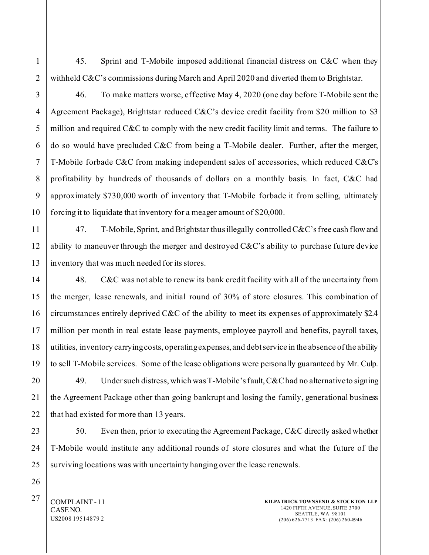45. Sprint and T-Mobile imposed additional financial distress on C&C when they withheld C&C's commissions during March and April 2020 and diverted them to Brightstar.

1

2

3

4

5

46. To make matters worse, effective May 4, 2020 (one day before T-Mobile sent the Agreement Package), Brightstar reduced C&C's device credit facility from \$20 million to \$3 million and required C&C to comply with the new credit facility limit and terms. The failure to do so would have precluded C&C from being a T-Mobile dealer. Further, after the merger, T-Mobile forbade C&C from making independent sales of accessories, which reduced C&C's profitability by hundreds of thousands of dollars on a monthly basis. In fact, C&C had approximately \$730,000 worth of inventory that T-Mobile forbade it from selling, ultimately forcing it to liquidate that inventory for a meager amount of \$20,000.

47. T-Mobile, Sprint, and Brightstar thus illegally controlled C&C's free cash flow and ability to maneuver through the merger and destroyed  $C\&C$ 's ability to purchase future device inventory that was much needed for its stores.

48. C&C was not able to renew its bank credit facility with all of the uncertainty from the merger, lease renewals, and initial round of 30% of store closures. This combination of circumstances entirely deprived C&C of the ability to meet its expenses of approximately \$2.4 million per month in real estate lease payments, employee payroll and benefits, payroll taxes, utilities, inventory carrying costs, operating expenses, and debt service in the absence of the ability to sell T-Mobile services. Some of the lease obligations were personally guaranteed by Mr. Culp.

49. Under such distress, which was T-Mobile's fault, C&C had no alternative to signing the Agreement Package other than going bankrupt and losing the family, generational business that had existed for more than 13 years.

50. Even then, prior to executing the Agreement Package, C&C directly asked whether T-Mobile would institute any additional rounds of store closures and what the future of the surviving locations was with uncertainty hanging over the lease renewals.

 $27$  COMPLAINT-11 CASE NO. US2008 19514879 2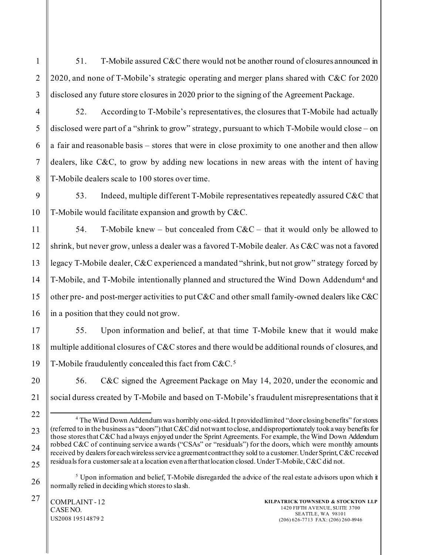51. T-Mobile assured C&C there would not be another round of closures announced in 2020, and none of T-Mobile's strategic operating and merger plans shared with C&C for 2020 disclosed any future store closures in 2020 prior to the signing of the Agreement Package.

52. According to T-Mobile's representatives, the closures that T-Mobile had actually disclosed were part of a "shrink to grow" strategy, pursuant to which T-Mobile would close – on a fair and reasonable basis – stores that were in close proximity to one another and then allow dealers, like C&C, to grow by adding new locations in new areas with the intent of having T-Mobile dealers scale to 100 stores over time.

53. Indeed, multiple different T-Mobile representatives repeatedly assured C&C that T-Mobile would facilitate expansion and growth by C&C.

54. T-Mobile knew – but concealed from  $C&C$  – that it would only be allowed to shrink, but never grow, unless a dealer was a favored T-Mobile dealer. As C&C was not a favored legacy T-Mobile dealer, C&C experienced a mandated "shrink, but not grow" strategy forced by T-Mobile, and T-Mobile intentionally planned and structured the Wind Down Addendum[4](#page-11-0) and other pre- and post-merger activities to put C&C and other small family-owned dealers like C&C in a position that they could not grow.

55. Upon information and belief, at that time T-Mobile knew that it would make multiple additional closures of C&C stores and there would be additional rounds of closures, and T-Mobile fraudulently concealed this fact from C&C.[5](#page-11-1)

56. C&C signed the Agreement Package on May 14, 2020, under the economic and social duress created by T-Mobile and based on T-Mobile's fraudulent misrepresentations that it

<span id="page-11-0"></span><sup>&</sup>lt;sup>4</sup> The Wind Down Addendum was horribly one-sided. It provided limited "door closing benefits" for stores (referred to in the business as "doors") that C&Cdid not want to close, and disproportionately took away benefits for those stores that C&C had always enjoyed under the Sprint Agreements. For example, the Wind Down Addendum robbed C&C of continuing service awards ("CSAs" or "residuals") for the doors, which were monthly amounts received by dealers for each wireless service a greement contract they sold to a customer. Under Sprint, C&C received residuals for a customer sale at a location even after that location closed. Under T-Mobile, C&C did not.

<span id="page-11-1"></span> $<sup>5</sup>$  Upon information and belief, T-Mobile disregarded the advice of the real estate advisors upon which it</sup> normally relied in deciding which stores to slash.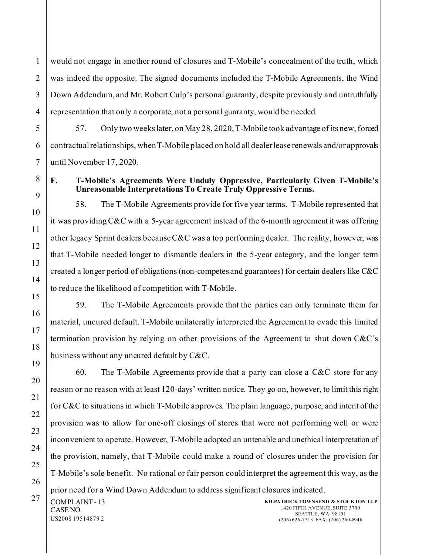1 2 3 4 would not engage in another round of closures and T-Mobile's concealment of the truth, which was indeed the opposite. The signed documents included the T-Mobile Agreements, the Wind Down Addendum, and Mr. Robert Culp's personal guaranty, despite previously and untruthfully representation that only a corporate, not a personal guaranty, would be needed.

57. Only two weeks later, on May 28, 2020, T-Mobile took advantage of its new, forced contractual relationships, when T-Mobile placed on hold all dealer lease renewals and/or approvals until November 17, 2020.

### **F. T-Mobile's Agreements Were Unduly Oppressive, Particularly Given T-Mobile's Unreasonable Interpretations To Create Truly Oppressive Terms.**

58. The T-Mobile Agreements provide for five year terms. T-Mobile represented that it was providing C&C with a 5-year agreement instead of the 6-month agreement it was offering other legacy Sprint dealers because  $C&C$  was a top performing dealer. The reality, however, was that T-Mobile needed longer to dismantle dealers in the 5-year category, and the longer term created a longer period of obligations (non-competes and guarantees) for certain dealers like C&C to reduce the likelihood of competition with T-Mobile.

59. The T-Mobile Agreements provide that the parties can only terminate them for material, uncured default. T-Mobile unilaterally interpreted the Agreement to evade this limited termination provision by relying on other provisions of the Agreement to shut down C&C's business without any uncured default by C&C.

60. The T-Mobile Agreements provide that a party can close a C&C store for any reason or no reason with at least 120-days' written notice. They go on, however, to limit this right for C&C to situations in which T-Mobile approves. The plain language, purpose, and intent of the provision was to allow for one-off closings of stores that were not performing well or were inconvenient to operate. However, T-Mobile adopted an untenable and unethical interpretation of the provision, namely, that T-Mobile could make a round of closures under the provision for T-Mobile's sole benefit. No rational or fair person could interpret the agreement this way, as the prior need for a Wind Down Addendum to address significant closures indicated.

**KILPATRICK TOWNSEND & STOCKTON LLP** 1420 FIFTH AVENUE, SUITE 3700 SEATTLE, WA 98101 (206) 626-7713 FAX: (206) 260-8946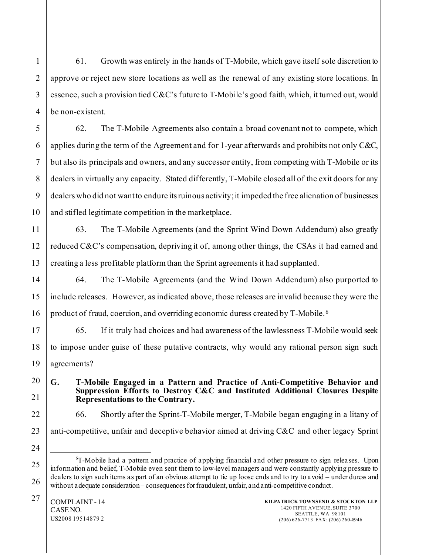61. Growth was entirely in the hands of T-Mobile, which gave itself sole discretion to approve or reject new store locations as well as the renewal of any existing store locations. In essence, such a provision tied C&C's future to T-Mobile's good faith, which, it turned out, would be non-existent.

62. The T-Mobile Agreements also contain a broad covenant not to compete, which applies during the term of the Agreement and for 1-year afterwards and prohibits not only C&C, but also its principals and owners, and any successor entity, from competing with T-Mobile or its dealers in virtually any capacity. Stated differently, T-Mobile closed all of the exit doors for any dealers who did not want to endure its ruinous activity; it impeded the free alienation of businesses and stifled legitimate competition in the marketplace.

63. The T-Mobile Agreements (and the Sprint Wind Down Addendum) also greatly reduced C&C's compensation, depriving it of, among other things, the CSAs it had earned and creating a less profitable platform than the Sprint agreements it had supplanted.

64. The T-Mobile Agreements (and the Wind Down Addendum) also purported to include releases. However, as indicated above, those releases are invalid because they were the product of fraud, coercion, and overriding economic duress created by T-Mobile.[6](#page-13-0)

65. If it truly had choices and had awareness of the lawlessness T-Mobile would seek to impose under guise of these putative contracts, why would any rational person sign such agreements?

**G. T-Mobile Engaged in a Pattern and Practice of Anti-Competitive Behavior and Suppression Efforts to Destroy C&C and Instituted Additional Closures Despite Representations to the Contrary.**

66. Shortly after the Sprint-T-Mobile merger, T-Mobile began engaging in a litany of

anti-competitive, unfair and deceptive behavior aimed at driving C&C and other legacy Sprint

1

<span id="page-13-0"></span><sup>6</sup> T-Mobile had a pattern and practice of applying financial and other pressure to sign releases. Upon information and belief, T-Mobile even sent them to low-level managers and were constantly applying pressure to dealers to sign such items as part of an obvious attempt to tie up loose ends and to try to avoid – under duress and without adequate consideration – consequences for fraudulent, unfair, and anti-competitive conduct.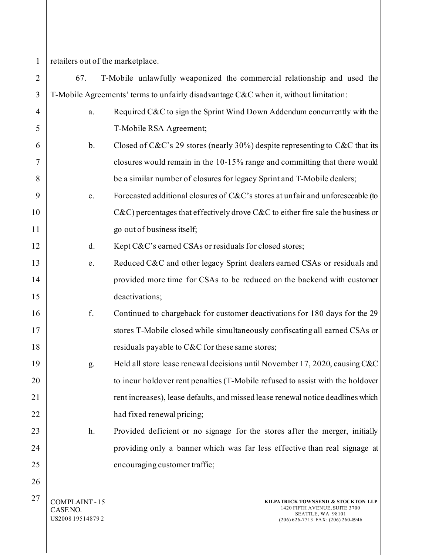1

CASE NO. US2008 19514879 2

- retailers out of the marketplace.
- 2 3 4 5 6 7 8 9 10 11 12 13 14 15 16 17 18 19 20 21 22 23 24 25 26  $27 \parallel$  COMPLAINT - 15 **KILPATRICK TOWNSEND & STOCKTON LLP** 67. T-Mobile unlawfully weaponized the commercial relationship and used the T-Mobile Agreements' terms to unfairly disadvantage C&C when it, without limitation: a. Required C&C to sign the Sprint Wind Down Addendum concurrently with the T-Mobile RSA Agreement; b. Closed of C&C's 29 stores (nearly 30%) despite representing to C&C that its closures would remain in the 10-15% range and committing that there would be a similar number of closures for legacy Sprint and T-Mobile dealers; c. Forecasted additional closures of C&C's stores at unfair and unforeseeable (to C&C) percentages that effectively drove C&C to either fire sale the business or go out of business itself; d. Kept C&C's earned CSAs or residuals for closed stores; e. Reduced C&C and other legacy Sprint dealers earned CSAs or residuals and provided more time for CSAs to be reduced on the backend with customer deactivations; f. Continued to chargeback for customer deactivations for 180 days for the 29 stores T-Mobile closed while simultaneously confiscating all earned CSAs or residuals payable to C&C for these same stores; g. Held all store lease renewal decisions until November 17, 2020, causing C&C to incur holdover rent penalties (T-Mobile refused to assist with the holdover rent increases), lease defaults, and missed lease renewal notice deadlines which had fixed renewal pricing; h. Provided deficient or no signage for the stores after the merger, initially providing only a banner which was far less effective than real signage at encouraging customer traffic;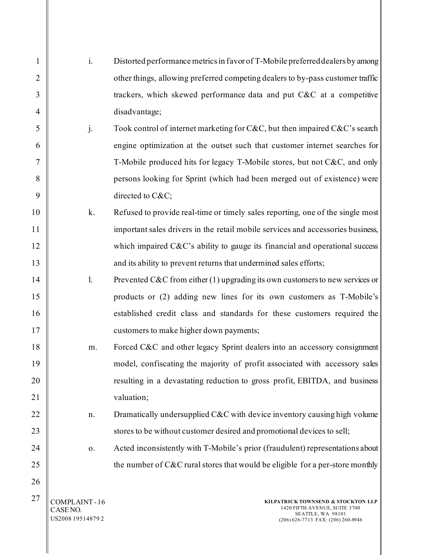| $\mathbf{1}$   | $\mathbf{i}$ . | Distorted performance metrics in favor of T-Mobile preferred dealers by among   |
|----------------|----------------|---------------------------------------------------------------------------------|
| $\overline{2}$ |                | other things, allowing preferred competing dealers to by-pass customer traffic  |
| 3              |                | trackers, which skewed performance data and put C&C at a competitive            |
| 4              |                | disadvantage;                                                                   |
| 5              | j.             | Took control of internet marketing for C&C, but then impaired C&C's search      |
| 6              |                | engine optimization at the outset such that customer internet searches for      |
| 7              |                | T-Mobile produced hits for legacy T-Mobile stores, but not C&C, and only        |
| 8              |                | persons looking for Sprint (which had been merged out of existence) were        |
| 9              |                | directed to C&C                                                                 |
| 10             | k.             | Refused to provide real-time or timely sales reporting, one of the single most  |
| 11             |                | important sales drivers in the retail mobile services and accessories business, |
| 12             |                | which impaired $C\&C$ 's ability to gauge its financial and operational success |
| 13             |                | and its ability to prevent returns that undermined sales efforts;               |
| 14             | 1.             | Prevented C&C from either $(1)$ upgrading its own customers to new services or  |
| 15             |                | products or (2) adding new lines for its own customers as T-Mobile's            |
| 16             |                | established credit class and standards for these customers required the         |
| 17             |                | customers to make higher down payments;                                         |
| 18             | m.             | Forced C&C and other legacy Sprint dealers into an accessory consignment        |
| 19             |                | model, confiscating the majority of profit associated with accessory sales      |
| 20             |                | resulting in a devastating reduction to gross profit, EBITDA, and business      |
| 21             |                | valuation;                                                                      |
| 22             | n.             | Dramatically undersupplied C&C with device inventory causing high volume        |
| 23             |                | stores to be without customer desired and promotional devices to sell;          |
| 24             | 0.             | Acted inconsistently with T-Mobile's prior (fraudulent) representations about   |
| 25             |                | the number of C&C rural stores that would be eligible for a per-store monthly   |
| 26             |                |                                                                                 |
| 27             | COMPLAINT-16   | KILPATRICK TOWNSEND & STOCKTON LLP                                              |

 $\parallel$  CASE NO. US2008 19514879 2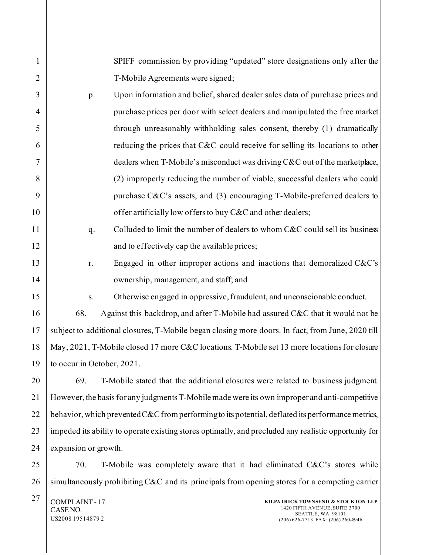SPIFF commission by providing "updated" store designations only after the T-Mobile Agreements were signed;

p. Upon information and belief, shared dealer sales data of purchase prices and purchase prices per door with select dealers and manipulated the free market through unreasonably withholding sales consent, thereby (1) dramatically reducing the prices that C&C could receive for selling its locations to other dealers when T-Mobile's misconduct was driving C&C out of the marketplace, (2) improperly reducing the number of viable, successful dealers who could purchase C&C's assets, and (3) encouraging T-Mobile-preferred dealers to offer artificially low offers to buy C&C and other dealers;

q. Colluded to limit the number of dealers to whom C&C could sell its business and to effectively cap the available prices;

- r. Engaged in other improper actions and inactions that demoralized C&C's ownership, management, and staff; and
	- s. Otherwise engaged in oppressive, fraudulent, and unconscionable conduct.

68. Against this backdrop, and after T-Mobile had assured C&C that it would not be subject to additional closures, T-Mobile began closing more doors. In fact, from June, 2020 till May, 2021, T-Mobile closed 17 more C&C locations. T-Mobile set 13 more locations for closure to occur in October, 2021.

20 24 69. T-Mobile stated that the additional closures were related to business judgment. However, the basis for any judgments T-Mobile made were its own improper and anti-competitive behavior, which prevented C&C from performing to its potential, deflated its performance metrics, impeded its ability to operate existing stores optimally, and precluded any realistic opportunity for expansion or growth.

70. T-Mobile was completely aware that it had eliminated C&C's stores while simultaneously prohibiting C&C and its principals from opening stores for a competing carrier

 $27$  COMPLAINT - 17 CASE NO. US2008 19514879 2

1

2

3

4

5

6

7

8

9

10

11

12

13

14

15

16

17

18

19

21

22

23

25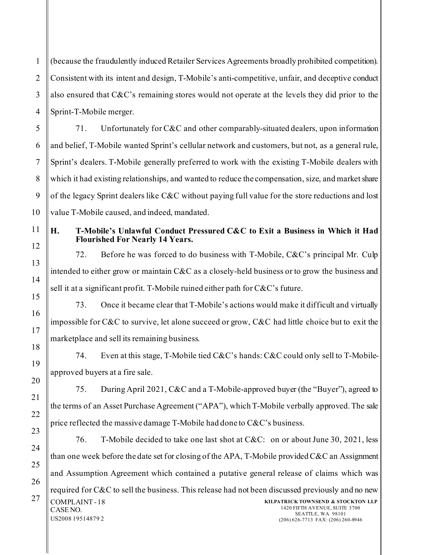1 2 (because the fraudulently induced Retailer Services Agreements broadly prohibited competition). Consistent with its intent and design, T-Mobile's anti-competitive, unfair, and deceptive conduct also ensured that C&C's remaining stores would not operate at the levels they did prior to the Sprint-T-Mobile merger.

71. Unfortunately for C&C and other comparably-situated dealers, upon information and belief, T-Mobile wanted Sprint's cellular network and customers, but not, as a general rule, Sprint's dealers. T-Mobile generally preferred to work with the existing T-Mobile dealers with which it had existing relationships, and wanted to reduce the compensation, size, and market share of the legacy Sprint dealers like C&C without paying full value for the store reductions and lost value T-Mobile caused, and indeed, mandated.

### **H. T-Mobile's Unlawful Conduct Pressured C&C to Exit a Business in Which it Had Flourished For Nearly 14 Years.**

72. Before he was forced to do business with T-Mobile, C&C's principal Mr. Culp intended to either grow or maintain C&C as a closely-held business or to grow the business and sell it at a significant profit. T-Mobile ruined either path for C&C's future.

73. Once it became clear that T-Mobile's actions would make it difficult and virtually impossible for C&C to survive, let alone succeed or grow, C&C had little choice but to exit the marketplace and sell its remaining business.

74. Even at this stage, T-Mobile tied C&C's hands: C&C could only sell to T-Mobileapproved buyers at a fire sale.

75. During April 2021, C&C and a T-Mobile-approved buyer (the "Buyer"), agreed to the terms of an Asset Purchase Agreement ("APA"), which T-Mobile verbally approved. The sale price reflected the massive damage T-Mobile had done to C&C's business.

 $27$  COMPLAINT-18 CASE NO. US2008 19514879 2 **KILPATRICK TOWNSEND & STOCKTON LLP** 1420 FIFTH AVENUE, SUITE 3700 SEATTLE, WA 98101 (206) 626-7713 FAX: (206) 260-8946 76. T-Mobile decided to take one last shot at C&C: on or about June 30, 2021, less than one week before the date set for closing of the APA, T-Mobile provided C&C an Assignment and Assumption Agreement which contained a putative general release of claims which was required for C&C to sell the business. This release had not been discussed previously and no new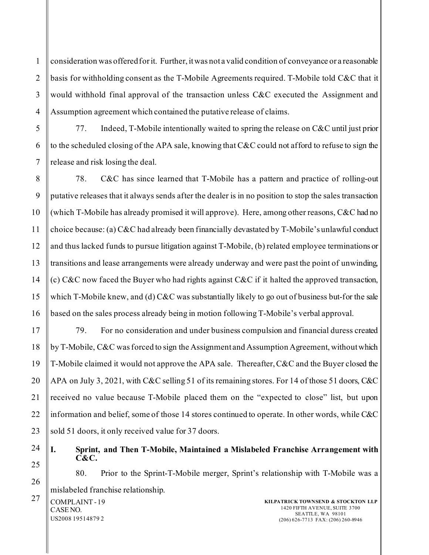consideration was offered for it. Further, it was not a valid condition of conveyance or a reasonable basis for withholding consent as the T-Mobile Agreements required. T-Mobile told C&C that it would withhold final approval of the transaction unless C&C executed the Assignment and Assumption agreement which contained the putative release of claims.

77. Indeed, T-Mobile intentionally waited to spring the release on C&C until just prior to the scheduled closing of the APA sale, knowing that C&C could not afford to refuse to sign the release and risk losing the deal.

78. C&C has since learned that T-Mobile has a pattern and practice of rolling-out putative releases that it always sends after the dealer is in no position to stop the sales transaction (which T-Mobile has already promised it will approve). Here, among other reasons, C&C had no choice because: (a) C&C had already been financially devastated by T-Mobile's unlawful conduct and thus lacked funds to pursue litigation against T-Mobile, (b) related employee terminations or transitions and lease arrangements were already underway and were past the point of unwinding, (c) C&C now faced the Buyer who had rights against C&C if it halted the approved transaction, which T-Mobile knew, and (d) C&C was substantially likely to go out of business but-for the sale based on the sales process already being in motion following T-Mobile's verbal approval.

79. For no consideration and under business compulsion and financial duress created by T-Mobile, C&C was forced to sign the Assignment and Assumption Agreement, without which T-Mobile claimed it would not approve the APA sale. Thereafter, C&C and the Buyer closed the APA on July 3, 2021, with C&C selling 51 of its remaining stores. For 14 of those 51 doors, C&C received no value because T-Mobile placed them on the "expected to close" list, but upon information and belief, some of those 14 stores continued to operate. In other words, while C&C sold 51 doors, it only received value for 37 doors.

**I. Sprint, and Then T-Mobile, Maintained a Mislabeled Franchise Arrangement with C&C.**

80. Prior to the Sprint-T-Mobile merger, Sprint's relationship with T-Mobile was a mislabeled franchise relationship.

 $27$  COMPLAINT-19 CASE NO. US2008 19514879 2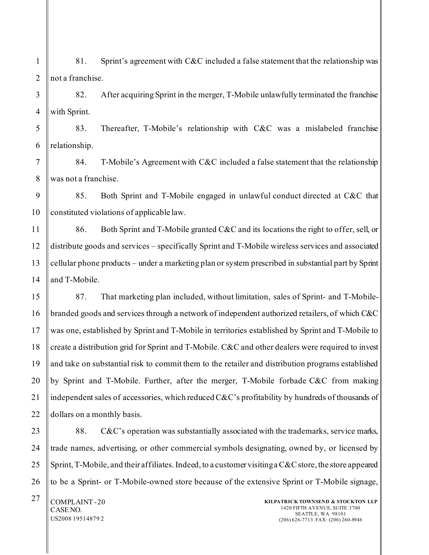1 2 81. Sprint's agreement with C&C included a false statement that the relationship was not a franchise.

3 4 82. After acquiring Sprint in the merger, T-Mobile unlawfully terminated the franchise with Sprint.

5 6 83. Thereafter, T-Mobile's relationship with C&C was a mislabeled franchise relationship.

84. T-Mobile's Agreement with C&C included a false statement that the relationship was not a franchise.

9 10 85. Both Sprint and T-Mobile engaged in unlawful conduct directed at C&C that constituted violations of applicable law.

12 14 86. Both Sprint and T-Mobile granted C&C and its locations the right to offer, sell, or distribute goods and services – specifically Sprint and T-Mobile wireless services and associated cellular phone products – under a marketing plan or system prescribed in substantial part by Sprint and T-Mobile.

87. That marketing plan included, without limitation, sales of Sprint- and T-Mobilebranded goods and services through a network of independent authorized retailers, of which C&C was one, established by Sprint and T-Mobile in territories established by Sprint and T-Mobile to create a distribution grid for Sprint and T-Mobile. C&C and other dealers were required to invest and take on substantial risk to commit them to the retailer and distribution programs established by Sprint and T-Mobile. Further, after the merger, T-Mobile forbade C&C from making independent sales of accessories, which reduced C&C's profitability by hundreds of thousands of dollars on a monthly basis.

88. C&C's operation was substantially associated with the trademarks, service marks, trade names, advertising, or other commercial symbols designating, owned by, or licensed by Sprint, T-Mobile, and their affiliates. Indeed, to a customer visiting a C&C store, the store appeared to be a Sprint- or T-Mobile-owned store because of the extensive Sprint or T-Mobile signage,

 $27$  COMPLAINT-20 CASE NO. US2008 19514879 2

7

8

11

13

15

16

17

18

19

20

21

22

23

24

25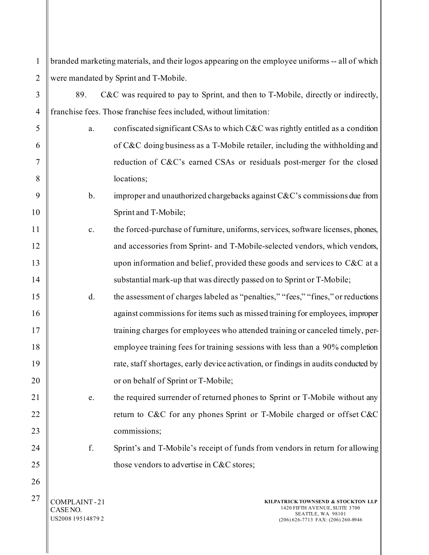| $\mathbf{1}$   |                                               | branded marketing materials, and their logos appearing on the employee uniforms -- all of which                                |
|----------------|-----------------------------------------------|--------------------------------------------------------------------------------------------------------------------------------|
| $\overline{2}$ |                                               | were mandated by Sprint and T-Mobile.                                                                                          |
| 3              | 89.                                           | C&C was required to pay to Sprint, and then to T-Mobile, directly or indirectly,                                               |
| $\overline{4}$ |                                               | franchise fees. Those franchise fees included, without limitation:                                                             |
| 5              | a.                                            | confiscated significant CSAs to which C&C was rightly entitled as a condition                                                  |
| 6              |                                               | of C&C doing business as a T-Mobile retailer, including the withholding and                                                    |
| $\tau$         |                                               | reduction of C&C's earned CSAs or residuals post-merger for the closed                                                         |
| 8              |                                               | locations;                                                                                                                     |
| 9              | b.                                            | improper and unauthorized chargebacks against $C&C$ 's commissions due from                                                    |
| 10             |                                               | Sprint and T-Mobile;                                                                                                           |
| 11             | $\mathbf{c}.$                                 | the forced-purchase of furniture, uniforms, services, software licenses, phones,                                               |
| 12             |                                               | and accessories from Sprint- and T-Mobile-selected vendors, which vendors,                                                     |
| 13             |                                               | upon information and belief, provided these goods and services to C&C at a                                                     |
| 14             |                                               | substantial mark-up that was directly passed on to Sprint or T-Mobile;                                                         |
| 15             | d.                                            | the assessment of charges labeled as "penalties," "fees," "fines," or reductions                                               |
| 16             |                                               | against commissions for items such as missed training for employees, improper                                                  |
| 17             |                                               | training charges for employees who attended training or canceled timely, per-                                                  |
| 18             |                                               | employee training fees for training sessions with less than a 90% completion                                                   |
| 19             |                                               | rate, staff shortages, early device activation, or findings in audits conducted by                                             |
| 20             |                                               | or on behalf of Sprint or T-Mobile;                                                                                            |
| 21             | e.                                            | the required surrender of returned phones to Sprint or T-Mobile without any                                                    |
| 22             |                                               | return to C&C for any phones Sprint or T-Mobile charged or offset C&C                                                          |
| 23             |                                               | commissions;                                                                                                                   |
| 24             | f.                                            | Sprint's and T-Mobile's receipt of funds from vendors in return for allowing                                                   |
| 25             |                                               | those vendors to advertise in C&C stores;                                                                                      |
| 26             |                                               |                                                                                                                                |
| 27             | COMPLAINT-21<br>CASE NO.<br>US2008 19514879 2 | KILPATRICK TOWNSEND & STOCKTON LLP<br>1420 FIFTH AVENUE, SUITE 3700<br>SEATTLE, WA 98101<br>(206) 626-7713 FAX: (206) 260-8946 |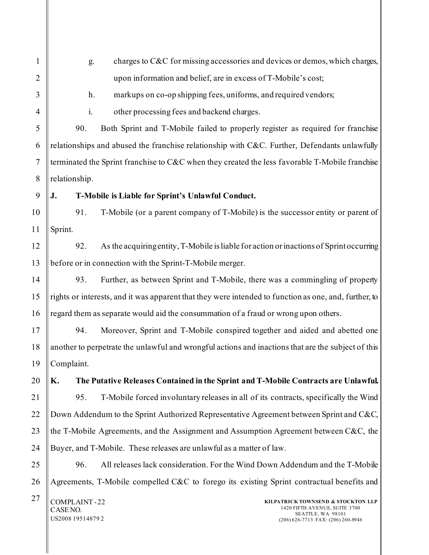| $\mathbf{1}$     | charges to C&C for missing accessories and devices or demos, which charges,<br>g.                                                                                               |
|------------------|---------------------------------------------------------------------------------------------------------------------------------------------------------------------------------|
| $\overline{2}$   | upon information and belief, are in excess of T-Mobile's cost;                                                                                                                  |
| 3                | markups on co-op shipping fees, uniforms, and required vendors;<br>h.                                                                                                           |
| $\overline{4}$   | other processing fees and backend charges.<br>i.                                                                                                                                |
| 5                | Both Sprint and T-Mobile failed to properly register as required for franchise<br>90.                                                                                           |
| 6                | relationships and abused the franchise relationship with C&C. Further, Defendants unlawfully                                                                                    |
| $\tau$           | terminated the Sprint franchise to C&C when they created the less favorable T-Mobile franchise                                                                                  |
| 8                | relationship.                                                                                                                                                                   |
| $\boldsymbol{9}$ | T-Mobile is Liable for Sprint's Unlawful Conduct.<br>J.                                                                                                                         |
| 10               | T-Mobile (or a parent company of T-Mobile) is the successor entity or parent of<br>91.                                                                                          |
| 11               | Sprint.                                                                                                                                                                         |
| 12               | As the acquiring entity, T-Mobile is liable for action or inactions of Sprint occurring<br>92.                                                                                  |
| 13               | before or in connection with the Sprint-T-Mobile merger.                                                                                                                        |
| 14               | Further, as between Sprint and T-Mobile, there was a commingling of property<br>93.                                                                                             |
| 15               | rights or interests, and it was apparent that they were intended to function as one, and, further, to                                                                           |
| 16               | regard them as separate would aid the consummation of a fraud or wrong upon others.                                                                                             |
| 17               | Moreover, Sprint and T-Mobile conspired together and aided and abetted one<br>94.                                                                                               |
| 18               | another to perpetrate the unlawful and wrongful actions and inactions that are the subject of this                                                                              |
| 19               | Complaint.                                                                                                                                                                      |
| 20               | The Putative Releases Contained in the Sprint and T-Mobile Contracts are Unlawful.<br>K.                                                                                        |
| 21               | T-Mobile forced involuntary releases in all of its contracts, specifically the Wind<br>95.                                                                                      |
| 22               | Down Addendum to the Sprint Authorized Representative Agreement between Sprint and C&C,                                                                                         |
| 23               | the T-Mobile Agreements, and the Assignment and Assumption Agreement between C&C, the                                                                                           |
| 24               | Buyer, and T-Mobile. These releases are unlawful as a matter of law.                                                                                                            |
| 25               | All releases lack consideration. For the Wind Down Addendum and the T-Mobile<br>96.                                                                                             |
| 26               | Agreements, T-Mobile compelled C&C to forego its existing Sprint contractual benefits and                                                                                       |
| 27               | COMPLAINT-22<br>KILPATRICK TOWNSEND & STOCKTON LLP<br>1420 FIFTH AVENUE, SUITE 3700<br>CASE NO.<br>SEATTLE, WA 98101<br>US2008 19514879 2<br>(206) 626-7713 FAX: (206) 260-8946 |

║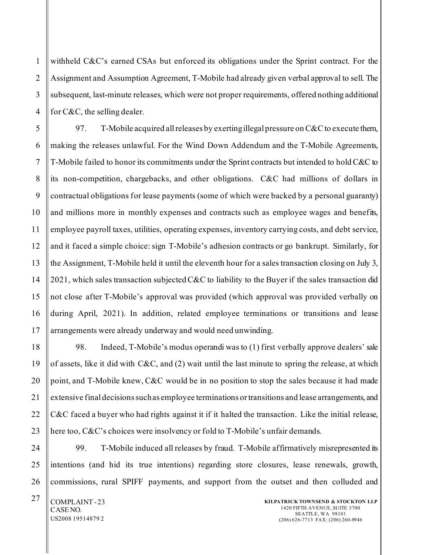1 withheld C&C's earned CSAs but enforced its obligations under the Sprint contract. For the Assignment and Assumption Agreement, T-Mobile had already given verbal approval to sell. The subsequent, last-minute releases, which were not proper requirements, offered nothing additional for C&C, the selling dealer.

97. T-Mobile acquired all releases by exerting illegal pressure on  $C\&C$  to execute them, making the releases unlawful. For the Wind Down Addendum and the T-Mobile Agreements, T-Mobile failed to honor its commitments under the Sprint contracts but intended to hold C&C to its non-competition, chargebacks, and other obligations. C&C had millions of dollars in contractual obligations for lease payments (some of which were backed by a personal guaranty) and millions more in monthly expenses and contracts such as employee wages and benefits, employee payroll taxes, utilities, operating expenses, inventory carrying costs, and debt service, and it faced a simple choice: sign T-Mobile's adhesion contracts or go bankrupt. Similarly, for the Assignment, T-Mobile held it until the eleventh hour for a sales transaction closing on July 3, 2021, which sales transaction subjected C&C to liability to the Buyer if the sales transaction did not close after T-Mobile's approval was provided (which approval was provided verbally on during April, 2021). In addition, related employee terminations or transitions and lease arrangements were already underway and would need unwinding.

98. Indeed, T-Mobile's modus operandi was to (1) first verbally approve dealers' sale of assets, like it did with  $C&C$ , and (2) wait until the last minute to spring the release, at which point, and T-Mobile knew, C&C would be in no position to stop the sales because it had made extensive final decisions such as employee terminations or transitions and lease arrangements, and C&C faced a buyer who had rights against it if it halted the transaction. Like the initial release, here too, C&C's choices were insolvency or fold to T-Mobile's unfair demands.

99. T-Mobile induced all releases by fraud. T-Mobile affirmatively misrepresented its intentions (and hid its true intentions) regarding store closures, lease renewals, growth, commissions, rural SPIFF payments, and support from the outset and then colluded and

 $27$  COMPLAINT-23 CASE NO. US2008 19514879 2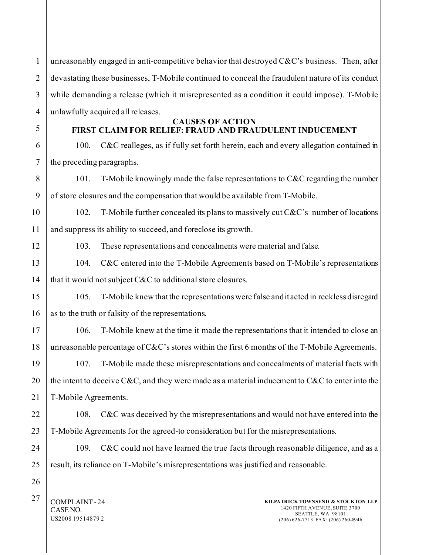1 2 3 4 unreasonably engaged in anti-competitive behavior that destroyed  $C\&C$ 's business. Then, after devastating these businesses, T-Mobile continued to conceal the fraudulent nature of its conduct while demanding a release (which it misrepresented as a condition it could impose). T-Mobile unlawfully acquired all releases.

5

6

8

9

12

13

15

16

19

20

21

22

23

24

25

26

### **CAUSES OF ACTION FIRST CLAIM FOR RELIEF: FRAUD AND FRAUDULENT INDUCEMENT**

7 100. C&C realleges, as if fully set forth herein, each and every allegation contained in the preceding paragraphs.

101. T-Mobile knowingly made the false representations to C&C regarding the number of store closures and the compensation that would be available from T-Mobile.

10 11 102. T-Mobile further concealed its plans to massively cut  $C\&C$ 's number of locations and suppress its ability to succeed, and foreclose its growth.

103. These representations and concealments were material and false.

14 104. C&C entered into the T-Mobile Agreements based on T-Mobile's representations that it would not subject C&C to additional store closures.

105. T-Mobile knew that the representations were false and it acted in reckless disregard as to the truth or falsity of the representations.

17 18 106. T-Mobile knew at the time it made the representations that it intended to close an unreasonable percentage of  $C&C$ 's stores within the first 6 months of the T-Mobile Agreements.

107. T-Mobile made these misrepresentations and concealments of material facts with the intent to deceive C&C, and they were made as a material inducement to C&C to enter into the T-Mobile Agreements.

108. C&C was deceived by the misrepresentations and would not have entered into the T-Mobile Agreements for the agreed-to consideration but for the misrepresentations.

109. C&C could not have learned the true facts through reasonable diligence, and as a result, its reliance on T-Mobile's misrepresentations was justified and reasonable.

 $27 \parallel$  COMPLAINT - 24 CASE NO. US2008 19514879 2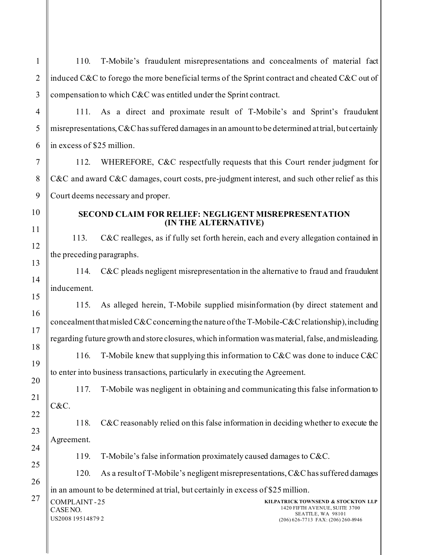110. T-Mobile's fraudulent misrepresentations and concealments of material fact induced C&C to forego the more beneficial terms of the Sprint contract and cheated C&C out of compensation to which C&C was entitled under the Sprint contract.

111. As a direct and proximate result of T-Mobile's and Sprint's fraudulent misrepresentations, C&C has suffered damages in an amount to be determined at trial, but certainly in excess of \$25 million.

112. WHEREFORE, C&C respectfully requests that this Court render judgment for C&C and award C&C damages, court costs, pre-judgment interest, and such other relief as this Court deems necessary and proper.

1

2

3

4

5

### **SECOND CLAIM FOR RELIEF: NEGLIGENT MISREPRESENTATION (IN THE ALTERNATIVE)**

113. C&C realleges, as if fully set forth herein, each and every allegation contained in the preceding paragraphs.

114. C&C pleads negligent misrepresentation in the alternative to fraud and fraudulent inducement.

115. As alleged herein, T-Mobile supplied misinformation (by direct statement and concealment that misled C&C concerning the nature of the T-Mobile-C&C relationship), including regarding future growth and store closures, which information was material, false, and misleading.

116. T-Mobile knew that supplying this information to C&C was done to induce C&C to enter into business transactions, particularly in executing the Agreement.

117. T-Mobile was negligent in obtaining and communicating this false information to C&C.

118. C&C reasonably relied on this false information in deciding whether to execute the Agreement.

119. T-Mobile's false information proximately caused damages to C&C.

120. As a result of T-Mobile's negligent misrepresentations, C&C has suffered damages in an amount to be determined at trial, but certainly in excess of \$25 million.

| 27 | $\begin{array}{c} \begin{array}{c} \begin{array}{c} \end{array}\\ \end{array} \begin{array}{c} \text{COMPLAINT - 25} \\ \text{CASE NO.} \end{array} \end{array}$ |
|----|------------------------------------------------------------------------------------------------------------------------------------------------------------------|
|    |                                                                                                                                                                  |
|    | US2008 19514879 2                                                                                                                                                |

**KILPATRICK TOWNSEND & STOCKTON LLP** 1420 FIFTH AVENUE, SUITE 3700 SEATTLE, WA 98101 (206) 626-7713 FAX: (206) 260-8946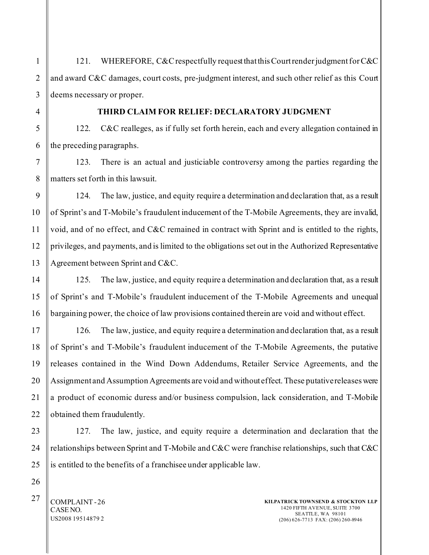121. WHEREFORE, C&C respectfully request that this Court render judgment for C&C and award C&C damages, court costs, pre-judgment interest, and such other relief as this Court deems necessary or proper.

**THIRD CLAIM FOR RELIEF: DECLARATORY JUDGMENT**

122. C&C realleges, as if fully set forth herein, each and every allegation contained in the preceding paragraphs.

123. There is an actual and justiciable controversy among the parties regarding the matters set forth in this lawsuit.

124. The law, justice, and equity require a determination and declaration that, as a result of Sprint's and T-Mobile's fraudulent inducement of the T-Mobile Agreements, they are invalid, void, and of no effect, and C&C remained in contract with Sprint and is entitled to the rights, privileges, and payments, and is limited to the obligations set out in the Authorized Representative Agreement between Sprint and C&C.

125. The law, justice, and equity require a determination and declaration that, as a result of Sprint's and T-Mobile's fraudulent inducement of the T-Mobile Agreements and unequal bargaining power, the choice of law provisions contained therein are void and without effect.

126. The law, justice, and equity require a determination and declaration that, as a result of Sprint's and T-Mobile's fraudulent inducement of the T-Mobile Agreements, the putative releases contained in the Wind Down Addendums, Retailer Service Agreements, and the Assignment and Assumption Agreements are void and without effect. These putative releases were a product of economic duress and/or business compulsion, lack consideration, and T-Mobile obtained them fraudulently.

127. The law, justice, and equity require a determination and declaration that the relationships between Sprint and T-Mobile and C&C were franchise relationships, such that C&C is entitled to the benefits of a franchisee under applicable law.

 $27 \parallel$  COMPLAINT - 26 CASE NO. US2008 19514879 2

1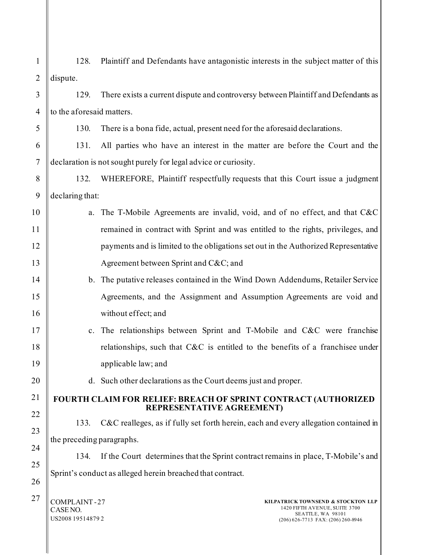| 1              | Plaintiff and Defendants have antagonistic interests in the subject matter of this<br>128.                                                                                          |  |
|----------------|-------------------------------------------------------------------------------------------------------------------------------------------------------------------------------------|--|
| $\overline{2}$ | dispute.                                                                                                                                                                            |  |
| 3              | There exists a current dispute and controversy between Plaintiff and Defendants as<br>129.                                                                                          |  |
| $\overline{4}$ | to the aforesaid matters.                                                                                                                                                           |  |
| 5              | 130.<br>There is a bona fide, actual, present need for the aforesaid declarations.                                                                                                  |  |
| 6              | All parties who have an interest in the matter are before the Court and the<br>131.                                                                                                 |  |
| $\overline{7}$ | declaration is not sought purely for legal advice or curiosity.                                                                                                                     |  |
| 8              | WHEREFORE, Plaintiff respectfully requests that this Court issue a judgment<br>132.                                                                                                 |  |
| 9              | declaring that:                                                                                                                                                                     |  |
| 10             | The T-Mobile Agreements are invalid, void, and of no effect, and that C&C<br>a.                                                                                                     |  |
| 11             | remained in contract with Sprint and was entitled to the rights, privileges, and                                                                                                    |  |
| 12             | payments and is limited to the obligations set out in the Authorized Representative                                                                                                 |  |
| 13             | Agreement between Sprint and C&C and                                                                                                                                                |  |
| 14             | b. The putative releases contained in the Wind Down Addendums, Retailer Service                                                                                                     |  |
| 15             | Agreements, and the Assignment and Assumption Agreements are void and                                                                                                               |  |
| 16             | without effect; and                                                                                                                                                                 |  |
| 17             | The relationships between Sprint and T-Mobile and C&C were franchise<br>$c_{\cdot}$                                                                                                 |  |
| 18             | relationships, such that C&C is entitled to the benefits of a franchisee under                                                                                                      |  |
| 19             | applicable law; and                                                                                                                                                                 |  |
| 20             | d. Such other declarations as the Court deems just and proper.                                                                                                                      |  |
| 21             | FOURTH CLAIM FOR RELIEF: BREACH OF SPRINT CONTRACT (AUTHORIZED<br>REPRESENTATIVE AGREEMENT)                                                                                         |  |
| 22             | C&C realleges, as if fully set forth herein, each and every allegation contained in<br>133.                                                                                         |  |
| 23             | the preceding paragraphs.                                                                                                                                                           |  |
| 24             |                                                                                                                                                                                     |  |
| 25             | If the Court determines that the Sprint contract remains in place, T-Mobile's and<br>134.                                                                                           |  |
| 26             | Sprint's conduct as alleged herein breached that contract.                                                                                                                          |  |
| 27             | COMPLAINT-27<br>KILPATRICK TOWNSEND & STOCKTON LLP<br>1420 FIFTH AVENUE, SUITE 3700<br>CASE NO.<br>SEATTLE, WA 98101<br>US2008 19514879 2<br>$(206)$ 626-7713 FAX: $(206)$ 260-8946 |  |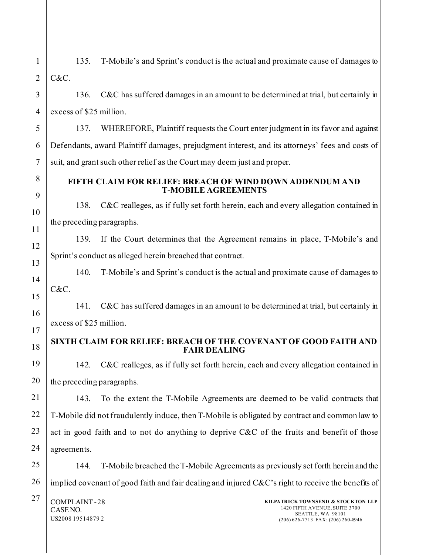1 2 3 4 5 135. T-Mobile's and Sprint's conduct is the actual and proximate cause of damages to C&C. 136. C&C has suffered damages in an amount to be determined at trial, but certainly in excess of \$25 million. 137. WHEREFORE, Plaintiff requests the Court enter judgment in its favor and against

Defendants, award Plaintiff damages, prejudgment interest, and its attorneys' fees and costs of suit, and grant such other relief as the Court may deem just and proper.

### **FIFTH CLAIM FOR RELIEF: BREACH OF WIND DOWN ADDENDUM AND T-MOBILE AGREEMENTS**

138. C&C realleges, as if fully set forth herein, each and every allegation contained in the preceding paragraphs.

139. If the Court determines that the Agreement remains in place, T-Mobile's and Sprint's conduct as alleged herein breached that contract.

140. T-Mobile's and Sprint's conduct is the actual and proximate cause of damages to C&C.

141. C&C has suffered damages in an amount to be determined at trial, but certainly in excess of \$25 million.

## **SIXTH CLAIM FOR RELIEF: BREACH OF THE COVENANT OF GOOD FAITH AND FAIR DEALING**

142. C&C realleges, as if fully set forth herein, each and every allegation contained in the preceding paragraphs.

143. To the extent the T-Mobile Agreements are deemed to be valid contracts that T-Mobile did not fraudulently induce, then T-Mobile is obligated by contract and common law to act in good faith and to not do anything to deprive C&C of the fruits and benefit of those agreements.

144. T-Mobile breached the T-Mobile Agreements as previously set forth herein and the implied covenant of good faith and fair dealing and injured  $C\&C$ 's right to receive the benefits of

 $27$  COMPLAINT-28 CASE NO. US2008 19514879 2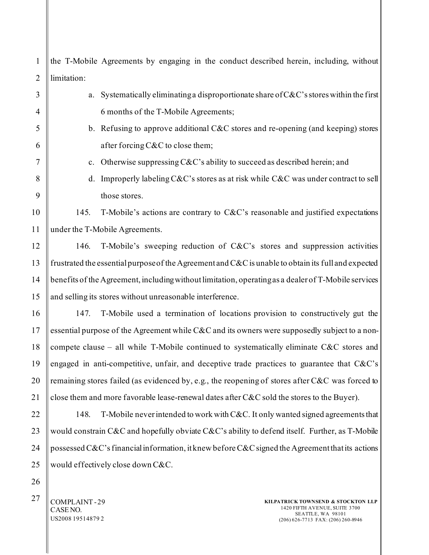1 2 the T-Mobile Agreements by engaging in the conduct described herein, including, without limitation:

| 3                | a.                                                                                            | Systematically eliminating a disproportionate share of $C&C$ 's stores within the first                |  |
|------------------|-----------------------------------------------------------------------------------------------|--------------------------------------------------------------------------------------------------------|--|
| 4                |                                                                                               | 6 months of the T-Mobile Agreements;                                                                   |  |
| 5                |                                                                                               | b. Refusing to approve additional C&C stores and re-opening (and keeping) stores                       |  |
| 6                |                                                                                               | after forcing C&C to close them;                                                                       |  |
| 7                | c.                                                                                            | Otherwise suppressing C&C's ability to succeed as described herein; and                                |  |
| 8                | d.                                                                                            | Improperly labeling C&C's stores as at risk while C&C was under contract to sell                       |  |
| 9                |                                                                                               | those stores.                                                                                          |  |
| $\boldsymbol{0}$ | 145.                                                                                          | T-Mobile's actions are contrary to C&C's reasonable and justified expectations                         |  |
| $\mathbf{1}$     |                                                                                               | under the T-Mobile Agreements.                                                                         |  |
| $\overline{c}$   | 146.                                                                                          | T-Mobile's sweeping reduction of C&C's stores and suppression activities                               |  |
| 3                |                                                                                               | frustrated the essential purpose of the Agreement and $C\&C$ is unable to obtain its full and expected |  |
| 4                |                                                                                               | benefits of the Agreement, including without limitation, operating as a dealer of T-Mobile services    |  |
| 5                |                                                                                               | and selling its stores without unreasonable interference.                                              |  |
| 6                | 147.                                                                                          | T-Mobile used a termination of locations provision to constructively gut the                           |  |
| 7                | essential purpose of the Agreement while C&C and its owners were supposedly subject to a non- |                                                                                                        |  |
| 8                | compete clause - all while T-Mobile continued to systematically eliminate C&C stores and      |                                                                                                        |  |
| 9                |                                                                                               | engaged in anti-competitive, unfair, and deceptive trade practices to guarantee that C&C's             |  |
| $\boldsymbol{0}$ |                                                                                               | remaining stores failed (as evidenced by, e.g., the reopening of stores after C&C was forced to        |  |
| $\mathbf{1}$     |                                                                                               | close them and more favorable lease-renewal dates after C&C sold the stores to the Buyer).             |  |
| $\overline{c}$   | 148.                                                                                          | T-Mobile never intended to work with C&C. It only wanted signed agreements that                        |  |
| 3                |                                                                                               | would constrain C&C and hopefully obviate C&C's ability to defend itself. Further, as T-Mobile         |  |
| 4                |                                                                                               | possessed C&C's financial information, it knew before C&C signed the Agreement that its actions        |  |
| 5                |                                                                                               | would effectively close down C&C.                                                                      |  |
|                  |                                                                                               |                                                                                                        |  |

 $27$  COMPLAINT-29 CASE NO. US2008 19514879 2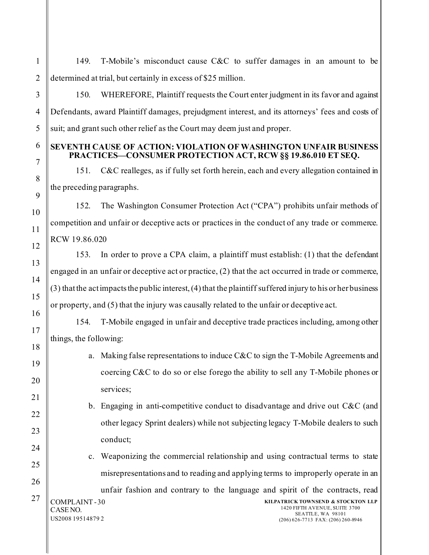149. T-Mobile's misconduct cause C&C to suffer damages in an amount to be determined at trial, but certainly in excess of \$25 million.

150. WHEREFORE, Plaintiff requests the Court enter judgment in its favor and against Defendants, award Plaintiff damages, prejudgment interest, and its attorneys' fees and costs of suit; and grant such other relief as the Court may deem just and proper.

### **SEVENTH CAUSE OF ACTION: VIOLATION OF WASHINGTON UNFAIR BUSINESS PRACTICES—CONSUMER PROTECTION ACT, RCW §§ 19.86.010 ET SEQ.**

151. C&C realleges, as if fully set forth herein, each and every allegation contained in the preceding paragraphs.

152. The Washington Consumer Protection Act ("CPA") prohibits unfair methods of competition and unfair or deceptive acts or practices in the conduct of any trade or commerce. RCW 19.86.020

153. In order to prove a CPA claim, a plaintiff must establish: (1) that the defendant engaged in an unfair or deceptive act or practice, (2) that the act occurred in trade or commerce, (3) that the act impacts the public interest, (4) that the plaintiff suffered injury to his or her business or property, and (5) that the injury was causally related to the unfair or deceptive act.

154. T-Mobile engaged in unfair and deceptive trade practices including, among other things, the following:

- a. Making false representations to induce C&C to sign the T-Mobile Agreements and coercing C&C to do so or else forego the ability to sell any T-Mobile phones or services;
- b. Engaging in anti-competitive conduct to disadvantage and drive out C&C (and other legacy Sprint dealers) while not subjecting legacy T-Mobile dealers to such conduct;
- c. Weaponizing the commercial relationship and using contractual terms to state misrepresentations and to reading and applying terms to improperly operate in an unfair fashion and contrary to the language and spirit of the contracts, read

 $27$  COMPLAINT-30 CASE NO. US2008 19514879 2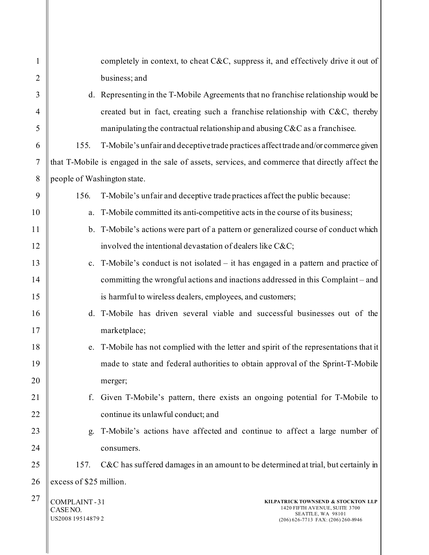| 1              |                                               | completely in context, to cheat C&C, suppress it, and effectively drive it out of                                              |
|----------------|-----------------------------------------------|--------------------------------------------------------------------------------------------------------------------------------|
| $\overline{2}$ |                                               | business; and                                                                                                                  |
| 3              |                                               | d. Representing in the T-Mobile Agreements that no franchise relationship would be                                             |
| $\overline{4}$ |                                               | created but in fact, creating such a franchise relationship with C&C, thereby                                                  |
| 5              |                                               | manipulating the contractual relationship and abusing C&C as a franchisee.                                                     |
| 6              | 155.                                          | T-Mobile's unfair and deceptive trade practices affect trade and/or commerce given                                             |
| $\tau$         |                                               | that T-Mobile is engaged in the sale of assets, services, and commerce that directly affect the                                |
| 8              | people of Washington state.                   |                                                                                                                                |
| 9              | 156.                                          | T-Mobile's unfair and deceptive trade practices affect the public because:                                                     |
| 10             | a.                                            | T-Mobile committed its anti-competitive acts in the course of its business;                                                    |
| 11             |                                               | b. T-Mobile's actions were part of a pattern or generalized course of conduct which                                            |
| 12             |                                               | involved the intentional devastation of dealers like C&C                                                                       |
| 13             |                                               | c. T-Mobile's conduct is not isolated – it has engaged in a pattern and practice of                                            |
| 14             |                                               | committing the wrongful actions and inactions addressed in this Complaint - and                                                |
| 15             |                                               | is harmful to wireless dealers, employees, and customers;                                                                      |
| 16             |                                               | d. T-Mobile has driven several viable and successful businesses out of the                                                     |
| 17             |                                               | marketplace;                                                                                                                   |
| 18             |                                               | e. T-Mobile has not complied with the letter and spirit of the representations that it                                         |
| 19             |                                               | made to state and federal authorities to obtain approval of the Sprint-T-Mobile                                                |
| 20             |                                               | merger;                                                                                                                        |
| 21             | f.                                            | Given T-Mobile's pattern, there exists an ongoing potential for T-Mobile to                                                    |
| 22             |                                               | continue its unlawful conduct; and                                                                                             |
| 23             | g.                                            | T-Mobile's actions have affected and continue to affect a large number of                                                      |
| 24             |                                               | consumers.                                                                                                                     |
| 25             | 157.                                          | C&C has suffered damages in an amount to be determined at trial, but certainly in                                              |
| 26             | excess of \$25 million.                       |                                                                                                                                |
| 27             | COMPLAINT-31<br>CASE NO.<br>US2008 19514879 2 | KILPATRICK TOWNSEND & STOCKTON LLP<br>1420 FIFTH AVENUE, SUITE 3700<br>SEATTLE, WA 98101<br>(206) 626-7713 FAX: (206) 260-8946 |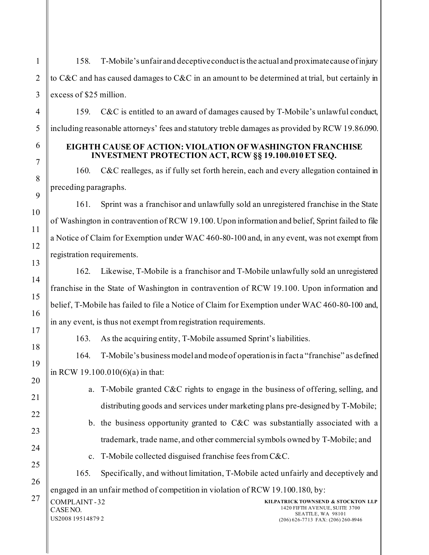158. T-Mobile's unfair and deceptive conduct is the actual and proximate cause of injury to C&C and has caused damages to C&C in an amount to be determined at trial, but certainly in excess of \$25 million.

159. C&C is entitled to an award of damages caused by T-Mobile's unlawful conduct, including reasonable attorneys' fees and statutory treble damages as provided by RCW 19.86.090.

### **EIGHTH CAUSE OF ACTION: VIOLATION OF WASHINGTON FRANCHISE INVESTMENT PROTECTION ACT, RCW §§ 19.100.010 ET SEQ.**

160. C&C realleges, as if fully set forth herein, each and every allegation contained in preceding paragraphs.

161. Sprint was a franchisor and unlawfully sold an unregistered franchise in the State of Washington in contravention of RCW 19.100. Upon information and belief, Sprint failed to file a Notice of Claim for Exemption under WAC 460-80-100 and, in any event, was not exempt from registration requirements.

162. Likewise, T-Mobile is a franchisor and T-Mobile unlawfully sold an unregistered franchise in the State of Washington in contravention of RCW 19.100. Upon information and belief, T-Mobile has failed to file a Notice of Claim for Exemption under WAC 460-80-100 and, in any event, is thus not exempt from registration requirements.

163. As the acquiring entity, T-Mobile assumed Sprint's liabilities.

164. T-Mobile's business model and mode of operation is in fact a "franchise" as defined in RCW 19.100.010(6)(a) in that:

- a. T-Mobile granted C&C rights to engage in the business of offering, selling, and distributing goods and services under marketing plans pre-designed by T-Mobile;
- b. the business opportunity granted to C&C was substantially associated with a trademark, trade name, and other commercial symbols owned by T-Mobile; and
- c. T-Mobile collected disguised franchise fees from C&C.

165. Specifically, and without limitation, T-Mobile acted unfairly and deceptively and engaged in an unfair method of competition in violation of RCW 19.100.180, by:

 $27$  COMPLAINT-32 CASE NO. US2008 19514879 2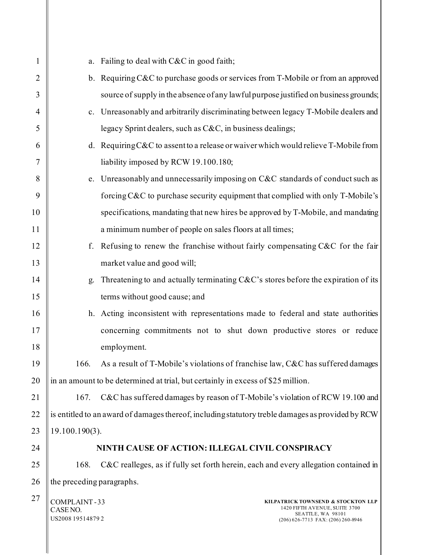| $\mathbf{1}$ | a.                                                                               | Failing to deal with C&C in good faith;                                                                                        |  |
|--------------|----------------------------------------------------------------------------------|--------------------------------------------------------------------------------------------------------------------------------|--|
| 2            |                                                                                  | b. Requiring C&C to purchase goods or services from T-Mobile or from an approved                                               |  |
| 3            |                                                                                  | source of supply in the absence of any lawful purpose justified on business grounds;                                           |  |
| 4            |                                                                                  | c. Unreasonably and arbitrarily discriminating between legacy T-Mobile dealers and                                             |  |
| 5            |                                                                                  | legacy Sprint dealers, such as C&C, in business dealings;                                                                      |  |
| 6            |                                                                                  | d. Requiring C&C to assent to a release or waiver which would relieve T-Mobile from                                            |  |
| 7            |                                                                                  | liability imposed by RCW 19.100.180;                                                                                           |  |
| 8            |                                                                                  | e. Unreasonably and unnecessarily imposing on C&C standards of conduct such as                                                 |  |
| 9            |                                                                                  | forcing C&C to purchase security equipment that complied with only T-Mobile's                                                  |  |
| 10           |                                                                                  | specifications, mandating that new hires be approved by T-Mobile, and mandating                                                |  |
| 11           |                                                                                  | a minimum number of people on sales floors at all times;                                                                       |  |
| 12           |                                                                                  | f. Refusing to renew the franchise without fairly compensating C&C for the fair                                                |  |
| 13           |                                                                                  | market value and good will;                                                                                                    |  |
| 14           | g.                                                                               | Threatening to and actually terminating $C\&C$ 's stores before the expiration of its                                          |  |
| 15           |                                                                                  | terms without good cause; and                                                                                                  |  |
| 16           |                                                                                  | h. Acting inconsistent with representations made to federal and state authorities                                              |  |
| 17           |                                                                                  | concerning commitments not to shut down productive stores or reduce                                                            |  |
| 18           |                                                                                  | employment.                                                                                                                    |  |
| 19           | 166.                                                                             | As a result of T-Mobile's violations of franchise law, C&C has suffered damages                                                |  |
| 20           | in an amount to be determined at trial, but certainly in excess of \$25 million. |                                                                                                                                |  |
| 21           | 167.                                                                             | C&C has suffered damages by reason of T-Mobile's violation of RCW 19.100 and                                                   |  |
| 22           |                                                                                  | is entitled to an award of damages thereof, including statutory treble damages as provided by RCW                              |  |
| 23           | 19.100.190(3).                                                                   |                                                                                                                                |  |
| 24           |                                                                                  | NINTH CAUSE OF ACTION: ILLEGAL CIVIL CONSPIRACY                                                                                |  |
| 25           | 168.                                                                             | C&C realleges, as if fully set forth herein, each and every allegation contained in                                            |  |
| 26           | the preceding paragraphs.                                                        |                                                                                                                                |  |
| 27           | COMPLAINT-33<br>CASE NO.<br>US2008 19514879 2                                    | KILPATRICK TOWNSEND & STOCKTON LLP<br>1420 FIFTH AVENUE, SUITE 3700<br>SEATTLE, WA 98101<br>(206) 626-7713 FAX: (206) 260-8946 |  |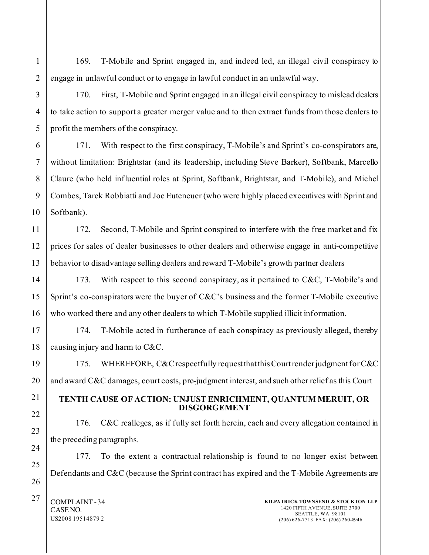169. T-Mobile and Sprint engaged in, and indeed led, an illegal civil conspiracy to engage in unlawful conduct or to engage in lawful conduct in an unlawful way.

1

170. First, T-Mobile and Sprint engaged in an illegal civil conspiracy to mislead dealers to take action to support a greater merger value and to then extract funds from those dealers to profit the members of the conspiracy.

171. With respect to the first conspiracy, T-Mobile's and Sprint's co-conspirators are, without limitation: Brightstar (and its leadership, including Steve Barker), Softbank, Marcello Claure (who held influential roles at Sprint, Softbank, Brightstar, and T-Mobile), and Michel Combes, Tarek Robbiatti and Joe Euteneuer (who were highly placed executives with Sprint and Softbank).

172. Second, T-Mobile and Sprint conspired to interfere with the free market and fix prices for sales of dealer businesses to other dealers and otherwise engage in anti-competitive behavior to disadvantage selling dealers and reward T-Mobile's growth partner dealers

173. With respect to this second conspiracy, as it pertained to C&C, T-Mobile's and Sprint's co-conspirators were the buyer of C&C's business and the former T-Mobile executive who worked there and any other dealers to which T-Mobile supplied illicit information.

174. T-Mobile acted in furtherance of each conspiracy as previously alleged, thereby causing injury and harm to C&C.

175. WHEREFORE, C&C respectfully request that this Court render judgment for C&C and award C&C damages, court costs, pre-judgment interest, and such other relief as this Court

### **TENTH CAUSE OF ACTION: UNJUST ENRICHMENT, QUANTUM MERUIT, OR DISGORGEMENT**

176. C&C realleges, as if fully set forth herein, each and every allegation contained in the preceding paragraphs.

177. To the extent a contractual relationship is found to no longer exist between Defendants and C&C (because the Sprint contract has expired and the T-Mobile Agreements are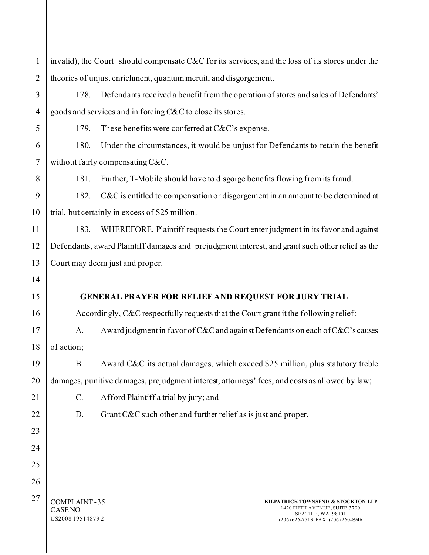| $\mathbf{1}$   |                                                                  | invalid), the Court should compensate C&C for its services, and the loss of its stores under the                                   |
|----------------|------------------------------------------------------------------|------------------------------------------------------------------------------------------------------------------------------------|
| $\overline{2}$ | theories of unjust enrichment, quantum meruit, and disgorgement. |                                                                                                                                    |
| 3              | 178.                                                             | Defendants received a benefit from the operation of stores and sales of Defendants'                                                |
| $\overline{4}$ |                                                                  | goods and services and in forcing C&C to close its stores.                                                                         |
| 5              | 179.                                                             | These benefits were conferred at $C&C$ 's expense.                                                                                 |
| 6              | 180.                                                             | Under the circumstances, it would be unjust for Defendants to retain the benefit                                                   |
| $\tau$         |                                                                  | without fairly compensating C&C.                                                                                                   |
| 8              | 181.                                                             | Further, T-Mobile should have to disgorge benefits flowing from its fraud.                                                         |
| 9              | 182.                                                             | C&C is entitled to compensation or disgorgement in an amount to be determined at                                                   |
| 10             | trial, but certainly in excess of \$25 million.                  |                                                                                                                                    |
| 11             | 183.                                                             | WHEREFORE, Plaintiff requests the Court enter judgment in its favor and against                                                    |
| 12             |                                                                  | Defendants, award Plaintiff damages and prejudgment interest, and grant such other relief as the                                   |
| 13             |                                                                  | Court may deem just and proper.                                                                                                    |
| 14             |                                                                  |                                                                                                                                    |
| 15             |                                                                  | <b>GENERAL PRAYER FOR RELIEF AND REQUEST FOR JURY TRIAL</b>                                                                        |
| 16             |                                                                  | Accordingly, C&C respectfully requests that the Court grant it the following relief:                                               |
| 17             | A.                                                               | Award judgment in favor of C&C and against Defendants on each of C&C's causes                                                      |
| 18             | of action;                                                       |                                                                                                                                    |
| 19             | <b>B.</b>                                                        | Award C&C its actual damages, which exceed \$25 million, plus statutory treble                                                     |
| 20             |                                                                  | damages, punitive damages, prejudgment interest, attorneys' fees, and costs as allowed by law;                                     |
| 21             | C.                                                               | Afford Plaintiff a trial by jury; and                                                                                              |
| 22             | D.                                                               | Grant C&C such other and further relief as is just and proper.                                                                     |
| 23             |                                                                  |                                                                                                                                    |
| 24             |                                                                  |                                                                                                                                    |
| 25             |                                                                  |                                                                                                                                    |
| 26             |                                                                  |                                                                                                                                    |
| 27             | COMPLAINT-35<br>CASE NO.<br>US2008 19514879 2                    | KILPATRICK TOWNSEND & STOCKTON LLP<br>1420 FIFTH AVENUE, SUITE 3700<br>SEATTLE, WA 98101<br>$(206)$ 626-7713 FAX: $(206)$ 260-8946 |